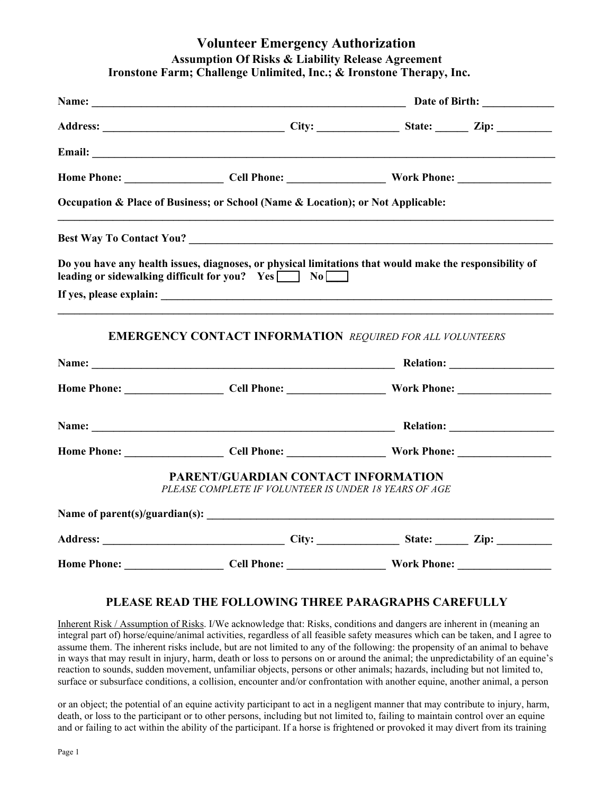## **Volunteer Emergency Authorization Assumption Of Risks & Liability Release Agreement Ironstone Farm; Challenge Unlimited, Inc.; & Ironstone Therapy, Inc.**

| Occupation & Place of Business; or School (Name & Location); or Not Applicable:                     |                                                                                                         |  |
|-----------------------------------------------------------------------------------------------------|---------------------------------------------------------------------------------------------------------|--|
|                                                                                                     |                                                                                                         |  |
| leading or sidewalking difficult for you? Yes No                                                    | Do you have any health issues, diagnoses, or physical limitations that would make the responsibility of |  |
|                                                                                                     |                                                                                                         |  |
| <b>EMERGENCY CONTACT INFORMATION REQUIRED FOR ALL VOLUNTEERS</b>                                    |                                                                                                         |  |
|                                                                                                     |                                                                                                         |  |
|                                                                                                     |                                                                                                         |  |
|                                                                                                     |                                                                                                         |  |
|                                                                                                     |                                                                                                         |  |
| <b>PARENT/GUARDIAN CONTACT INFORMATION</b><br>PLEASE COMPLETE IF VOLUNTEER IS UNDER 18 YEARS OF AGE |                                                                                                         |  |
|                                                                                                     |                                                                                                         |  |
|                                                                                                     |                                                                                                         |  |
|                                                                                                     |                                                                                                         |  |

## **PLEASE READ THE FOLLOWING THREE PARAGRAPHS CAREFULLY**

Inherent Risk / Assumption of Risks. I/We acknowledge that: Risks, conditions and dangers are inherent in (meaning an integral part of) horse/equine/animal activities, regardless of all feasible safety measures which can be taken, and I agree to assume them. The inherent risks include, but are not limited to any of the following: the propensity of an animal to behave in ways that may result in injury, harm, death or loss to persons on or around the animal; the unpredictability of an equine's reaction to sounds, sudden movement, unfamiliar objects, persons or other animals; hazards, including but not limited to, surface or subsurface conditions, a collision, encounter and/or confrontation with another equine, another animal, a person

or an object; the potential of an equine activity participant to act in a negligent manner that may contribute to injury, harm, death, or loss to the participant or to other persons, including but not limited to, failing to maintain control over an equine and or failing to act within the ability of the participant. If a horse is frightened or provoked it may divert from its training